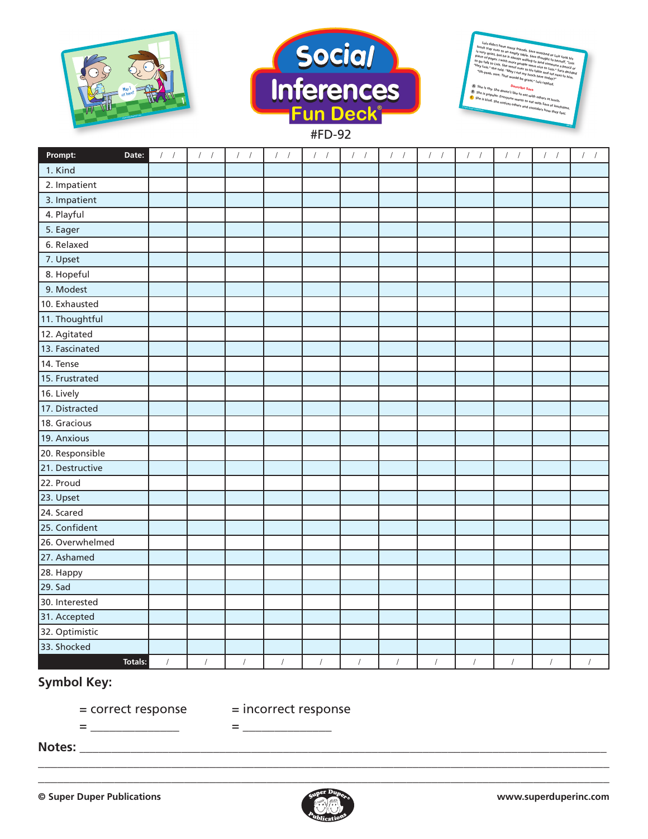



**Prompt: Date:** / / / / / / / / / / / / / / / / / / / / / / / / 1. Kind 2. Impatient 3. Impatient 4. Playful 5. Eager 6. Relaxed 7. Upset 8. Hopeful 9. Modest 10. Exhausted 11. Thoughtful 12. Agitated 13. Fascinated 14. Tense 15. Frustrated 16. Lively 17. Distracted 18. Gracious 19. Anxious 20. Responsible 21. Destructive 22. Proud 23. Upset 24. Scared 25. Confident 26. Overwhelmed 27. Ashamed 28. Happy 29. Sad 30. Interested 31. Accepted 32. Optimistic 33. Shocked **Totals:** / / / / / / / / / / / /

## **Symbol Key:**

**www.superduperinc.com**

1

= \_\_\_\_\_\_\_\_\_\_\_\_\_\_ = \_\_\_\_\_\_\_\_\_\_\_\_\_\_

= correct response = incorrect response

**Notes:** \_\_\_\_\_\_\_\_\_\_\_\_\_\_\_\_\_\_\_\_\_\_\_\_\_\_\_\_\_\_\_\_\_\_\_\_\_\_\_\_\_\_\_\_\_\_\_\_\_\_\_\_\_\_\_\_\_\_\_\_\_\_\_\_\_\_\_\_\_\_\_\_\_\_\_\_\_\_\_\_\_\_\_



\_\_\_\_\_\_\_\_\_\_\_\_\_\_\_\_\_\_\_\_\_\_\_\_\_\_\_\_\_\_\_\_\_\_\_\_\_\_\_\_\_\_\_\_\_\_\_\_\_\_\_\_\_\_\_\_\_\_\_\_\_\_\_\_\_\_\_\_\_\_\_\_\_\_\_\_\_\_\_\_\_\_\_\_\_\_\_\_\_\_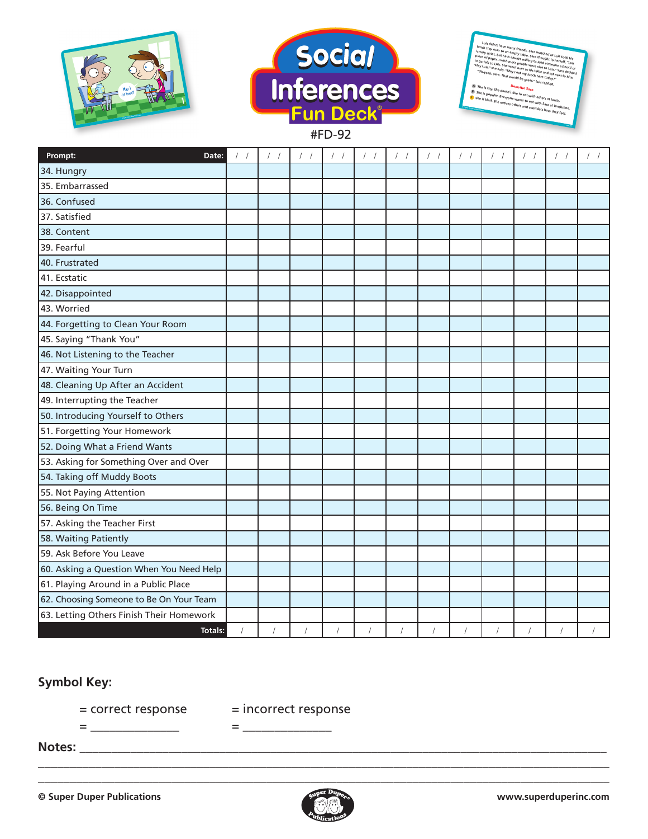





**Prompt: Date:** / / / / / / / / / / / / / / / / / / / / / / / / 34. Hungry 35. Embarrassed 36. Confused 37. Satisfied 38. Content 39. Fearful 40. Frustrated 41. Ecstatic 42. Disappointed 43. Worried 44. Forgetting to Clean Your Room 45. Saying "Thank You" 46. Not Listening to the Teacher 47. Waiting Your Turn 48. Cleaning Up After an Accident 49. Interrupting the Teacher 50. Introducing Yourself to Others 51. Forgetting Your Homework 52. Doing What a Friend Wants 53. Asking for Something Over and Over 54. Taking off Muddy Boots 55. Not Paying Attention 56. Being On Time 57. Asking the Teacher First 58. Waiting Patiently 59. Ask Before You Leave 60. Asking a Question When You Need Help 61. Playing Around in a Public Place 62. Choosing Someone to Be On Your Team 63. Letting Others Finish Their Homework **Totals:** / / / / / / / / / / / /

## **Symbol Key:**

= \_\_\_\_\_\_\_\_\_\_\_\_\_\_ = \_\_\_\_\_\_\_\_\_\_\_\_\_\_

= correct response = incorrect response

**Notes:** \_\_\_\_\_\_\_\_\_\_\_\_\_\_\_\_\_\_\_\_\_\_\_\_\_\_\_\_\_\_\_\_\_\_\_\_\_\_\_\_\_\_\_\_\_\_\_\_\_\_\_\_\_\_\_\_\_\_\_\_\_\_\_\_\_\_\_\_\_\_\_\_\_\_\_\_\_\_\_\_\_\_\_



\_\_\_\_\_\_\_\_\_\_\_\_\_\_\_\_\_\_\_\_\_\_\_\_\_\_\_\_\_\_\_\_\_\_\_\_\_\_\_\_\_\_\_\_\_\_\_\_\_\_\_\_\_\_\_\_\_\_\_\_\_\_\_\_\_\_\_\_\_\_\_\_\_\_\_\_\_\_\_\_\_\_\_\_\_\_\_\_\_\_